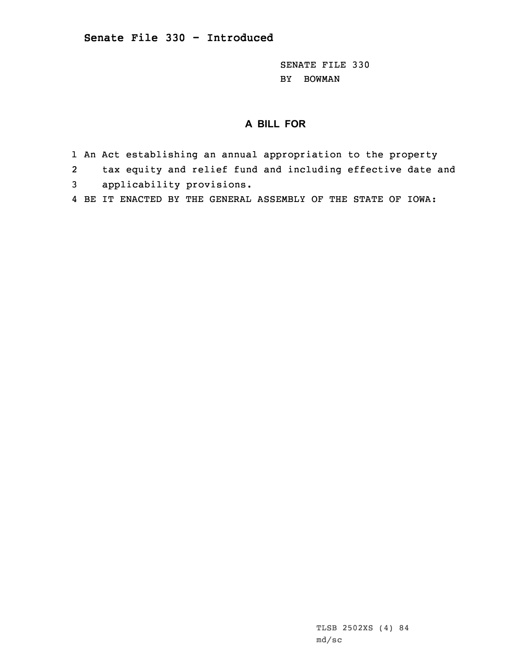SENATE FILE 330 BY BOWMAN

## **A BILL FOR**

- 1 An Act establishing an annual appropriation to the property
- 2tax equity and relief fund and including effective date and
- 3 applicability provisions.
- 4 BE IT ENACTED BY THE GENERAL ASSEMBLY OF THE STATE OF IOWA: